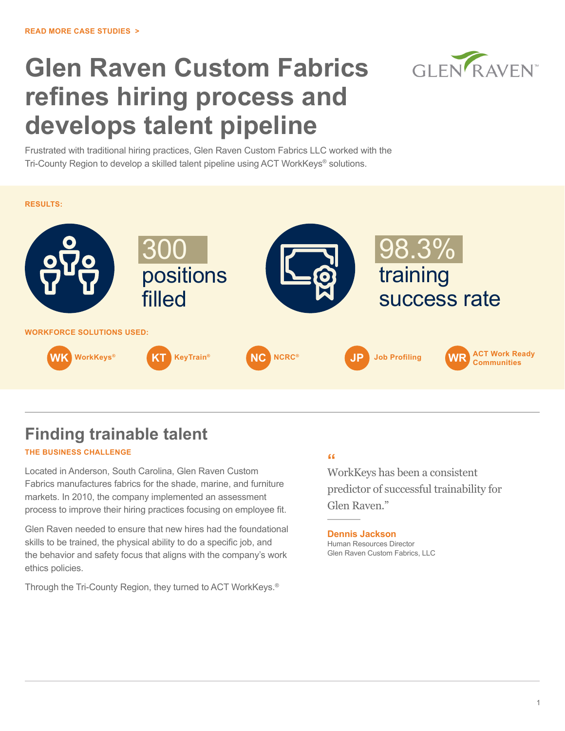# **Glen Raven Custom Fabrics refines hiring process and develops talent pipeline**

GLEN RAVEN

Frustrated with traditional hiring practices, Glen Raven Custom Fabrics LLC worked with the Tri-County Region to develop a skilled talent pipeline using ACT WorkKeys® solutions.



# **Finding trainable talent**

# **THE BUSINESS CHALLENGE**

Located in Anderson, South Carolina, Glen Raven Custom Fabrics manufactures fabrics for the shade, marine, and furniture markets. In 2010, the company implemented an assessment process to improve their hiring practices focusing on employee fit.

Glen Raven needed to ensure that new hires had the foundational skills to be trained, the physical ability to do a specific job, and the behavior and safety focus that aligns with the company's work ethics policies.

Through the Tri-County Region, they turned to ACT WorkKeys.®

# **"**

WorkKeys has been a consistent predictor of successful trainability for Glen Raven."

# **Dennis Jackson**

Human Resources Director Glen Raven Custom Fabrics, LLC